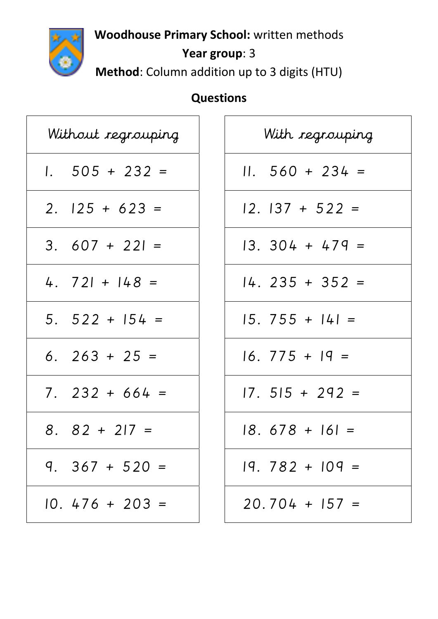

**Woodhouse Primary School:** written methods

## **Year group**: 3

**Method**: Column addition up to 3 digits (HTU)

## **Questions**

| Without regrouping | With regrouping  |
|--------------------|------------------|
| $1.505 + 232 =$    | $11.560 + 234 =$ |
| $2.125 + 623 =$    | $12.137 + 522 =$ |
| $3.607 + 221 =$    | $13.304 + 479 =$ |
| 4. $721 + 148 =$   | $14.235 + 352 =$ |
| $5.522 + 154 =$    | $15.755 + 141 =$ |
| 6. $263 + 25 =$    | $16.775 + 19 =$  |
| $7.232 + 664 =$    | $17.515 + 292 =$ |
| $8.82 + 217 =$     | $18.678 + 161 =$ |
| $9.367 + 520 =$    | $19.782 + 109 =$ |
| $10.476 + 203 =$   | $20.704 + 157 =$ |

| With regrouping   |  |  |
|-------------------|--|--|
| $11. 560 + 234 =$ |  |  |
| 12. 137 + 522 =   |  |  |
| 13. 304 + 479 =   |  |  |
| 14. 235 + 352 =   |  |  |
| 5. 755 + 141 =    |  |  |
| $16.775 + 19 =$   |  |  |
| $17.515 + 292 =$  |  |  |
| 18. 678 + 161 =   |  |  |
| 19. 782 + 109 =   |  |  |
| $20.704 + 157 =$  |  |  |